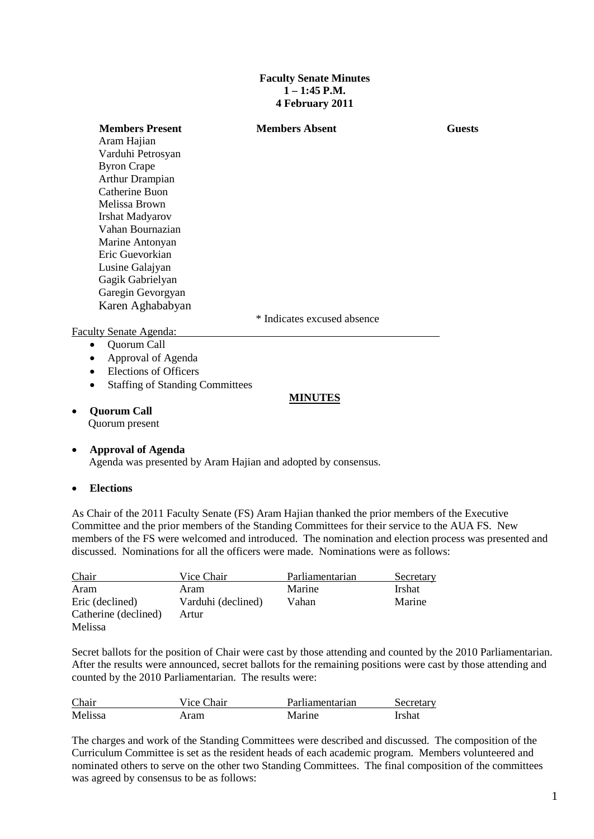## **Faculty Senate Minutes 1 – 1:45 P.M. 4 February 2011**

| <b>Members Present</b>        | <b>Members Absent</b>       | <b>Guests</b> |
|-------------------------------|-----------------------------|---------------|
| Aram Hajian                   |                             |               |
| Varduhi Petrosyan             |                             |               |
| <b>Byron Crape</b>            |                             |               |
| <b>Arthur Drampian</b>        |                             |               |
| Catherine Buon                |                             |               |
| Melissa Brown                 |                             |               |
| <b>Irshat Madyarov</b>        |                             |               |
| Vahan Bournazian              |                             |               |
| Marine Antonyan               |                             |               |
| Eric Guevorkian               |                             |               |
| Lusine Galajyan               |                             |               |
| Gagik Gabrielyan              |                             |               |
| Garegin Gevorgyan             |                             |               |
| Karen Aghababyan              |                             |               |
|                               | * Indicates excused absence |               |
| <b>Faculty Senate Agenda:</b> |                             |               |
| Quorum Call<br>$\bullet$      |                             |               |
| Approval of Agonda            |                             |               |

- Approval of Agenda
- Elections of Officers
- Staffing of Standing Committees

## **MINUTES**

- **Quorum Call** Quorum present
- **Approval of Agenda** Agenda was presented by Aram Hajian and adopted by consensus.

## • **Elections**

As Chair of the 2011 Faculty Senate (FS) Aram Hajian thanked the prior members of the Executive Committee and the prior members of the Standing Committees for their service to the AUA FS. New members of the FS were welcomed and introduced. The nomination and election process was presented and discussed. Nominations for all the officers were made. Nominations were as follows:

| Chair                | Vice Chair         | Parliamentarian | Secretary     |
|----------------------|--------------------|-----------------|---------------|
| Aram                 | Aram               | Marine          | <b>Irshat</b> |
| Eric (declined)      | Varduhi (declined) | Vahan           | Marine        |
| Catherine (declined) | Artur              |                 |               |
| Melissa              |                    |                 |               |

Secret ballots for the position of Chair were cast by those attending and counted by the 2010 Parliamentarian. After the results were announced, secret ballots for the remaining positions were cast by those attending and counted by the 2010 Parliamentarian. The results were:

| Chair   | Vice Chair | Parliamentarian | Secretary |
|---------|------------|-----------------|-----------|
| Melissa | Aram       | Marine          | Irshat    |

The charges and work of the Standing Committees were described and discussed. The composition of the Curriculum Committee is set as the resident heads of each academic program. Members volunteered and nominated others to serve on the other two Standing Committees. The final composition of the committees was agreed by consensus to be as follows: